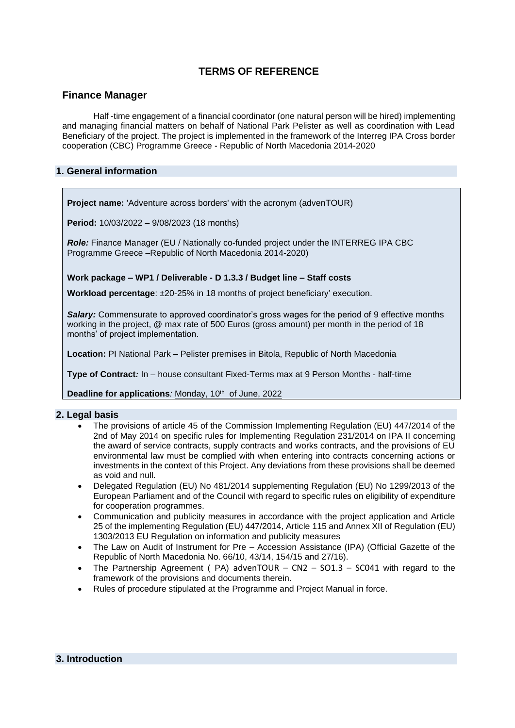# **TERMS OF REFERENCE**

## **Finance Manager**

Half -time engagement of a financial coordinator (one natural person will be hired) implementing and managing financial matters on behalf of National Park Pelister as well as coordination with Lead Beneficiary of the project. The project is implemented in the framework of the Interreg IPA Cross border cooperation (CBC) Programme Greece - Republic of North Macedonia 2014-2020

## **1. General information**

**Project name:** 'Adventure across borders' with the acronym (advenTOUR)

**Period:** 10/03/2022 – 9/08/2023 (18 months)

*Role:* Finance Manager (EU / Nationally co-funded project under the INTERREG IPA CBC Programme Greece –Republic of North Macedonia 2014-2020)

**Work package – WP1 / Deliverable - D 1.3.3 / Budget line – Staff costs**

**Workload percentage**: ±20-25% in 18 months of project beneficiary' execution.

*Salary:* Commensurate to approved coordinator's gross wages for the period of 9 effective months working in the project, @ max rate of 500 Euros (gross amount) per month in the period of 18 months' of project implementation.

**Location:** PI National Park – Pelister premises in Bitola, Republic of North Macedonia

**Type of Contract***:* In – house consultant Fixed-Terms max at 9 Person Months - half-time

**Deadline for applications**: Monday, 10<sup>th</sup> of June, 2022

## **2. Legal basis**

- The provisions of article 45 of the Commission Implementing Regulation (EU) 447/2014 of the 2nd of May 2014 on specific rules for Implementing Regulation 231/2014 on IPA II concerning the award of service contracts, supply contracts and works contracts, and the provisions of EU environmental law must be complied with when entering into contracts concerning actions or investments in the context of this Project. Any deviations from these provisions shall be deemed as void and null.
- Delegated Regulation (EU) No 481/2014 supplementing Regulation (EU) No 1299/2013 of the European Parliament and of the Council with regard to specific rules on eligibility of expenditure for cooperation programmes.
- Communication and publicity measures in accordance with the project application and Article 25 of the implementing Regulation (EU) 447/2014, Article 115 and Annex XII of Regulation (EU) 1303/2013 EU Regulation on information and publicity measures
- The Law on Audit of Instrument for Pre Accession Assistance (IPA) (Official Gazette of the Republic of North Macedonia No. 66/10, 43/14, 154/15 and 27/16).
- The Partnership Agreement ( $PA$ ) advenTOUR CN2 SO1.3 SC041 with regard to the framework of the provisions and documents therein.
- Rules of procedure stipulated at the Programme and Project Manual in force.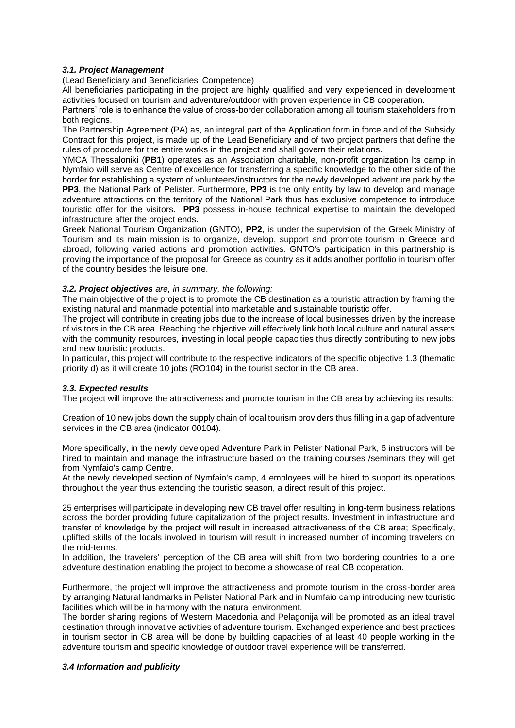### *3.1. Project Management*

(Lead Beneficiary and Beneficiaries' Competence)

All beneficiaries participating in the project are highly qualified and very experienced in development activities focused on tourism and adventure/outdoor with proven experience in CB cooperation.

Partners' role is to enhance the value of cross-border collaboration among all tourism stakeholders from both regions.

The Partnership Agreement (PA) as, an integral part of the Application form in force and of the Subsidy Contract for this project, is made up of the Lead Beneficiary and of two project partners that define the rules of procedure for the entire works in the project and shall govern their relations.

YMCA Thessaloniki (**PB1**) operates as an Association charitable, non-profit organization Ιts camp in Nymfaio will serve as Centre of excellence for transferring a specific knowledge to the other side of the border for establishing a system of volunteers/instructors for the newly developed adventure park by the **PP3**, the National Park of Pelister. Furthermore, **PP3** is the only entity by law to develop and manage adventure attractions on the territory of the National Park thus has exclusive competence to introduce touristic offer for the visitors. **PP3** possess in-house technical expertise to maintain the developed infrastructure after the project ends.

Greek National Tourism Organization (GNTO), **PP2**, is under the supervision of the Greek Ministry of Tourism and its main mission is to organize, develop, support and promote tourism in Greece and abroad, following varied actions and promotion activities. GNTO's participation in this partnership is proving the importance of the proposal for Greece as country as it adds another portfolio in tourism offer of the country besides the leisure one.

#### *3.2. Project objectives are, in summary, the following:*

The main objective of the project is to promote the CB destination as a touristic attraction by framing the existing natural and manmade potential into marketable and sustainable touristic offer.

The project will contribute in creating jobs due to the increase of local businesses driven by the increase of visitors in the CB area. Reaching the objective will effectively link both local culture and natural assets with the community resources, investing in local people capacities thus directly contributing to new jobs and new touristic products.

In particular, this project will contribute to the respective indicators of the specific objective 1.3 (thematic priority d) as it will create 10 jobs (RO104) in the tourist sector in the CB area.

#### *3.3. Expected results*

The project will improve the attractiveness and promote tourism in the CB area by achieving its results:

Creation of 10 new jobs down the supply chain of local tourism providers thus filling in a gap of adventure services in the CB area (indicator 00104).

More specifically, in the newly developed Adventure Park in Pelister National Park, 6 instructors will be hired to maintain and manage the infrastructure based on the training courses /seminars they will get from Nymfaio's camp Centre.

At the newly developed section of Nymfaio's camp, 4 employees will be hired to support its operations throughout the year thus extending the touristic season, a direct result of this project.

25 enterprises will participate in developing new CB travel offer resulting in long-term business relations across the border providing future capitalization of the project results. Investment in infrastructure and transfer of knowledge by the project will result in increased attractiveness of the CB area; Specificaly, uplifted skills of the locals involved in tourism will result in increased number of incoming travelers on the mid-terms.

In addition, the travelers' perception of the CB area will shift from two bordering countries to a one adventure destination enabling the project to become a showcase of real CB cooperation.

Furthermore, the project will improve the attractiveness and promote tourism in the cross-border area by arranging Natural landmarks in Pelister National Park and in Numfaio camp introducing new touristic facilities which will be in harmony with the natural environment.

The border sharing regions of Western Macedonia and Pelagonija will be promoted as an ideal travel destination through innovative activities of adventure tourism. Exchanged experience and best practices in tourism sector in CB area will be done by building capacities of at least 40 people working in the adventure tourism and specific knowledge of outdoor travel experience will be transferred.

#### *3.4 Information and publicity*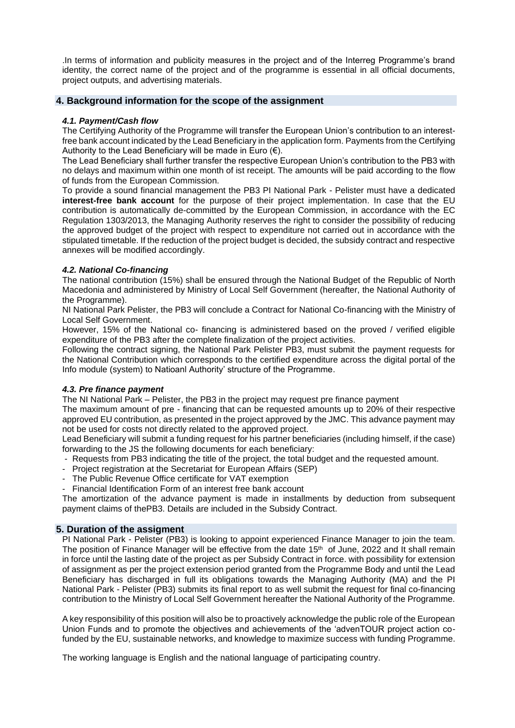.In terms of information and publicity measures in the project and of the Interreg Programme's brand identity, the correct name of the project and of the programme is essential in all official documents, project outputs, and advertising materials.

## **4. Background information for the scope of the assignment**

### *4.1. Payment/Cash flow*

The Certifying Authority of the Programme will transfer the European Union's contribution to an interestfree bank account indicated by the Lead Beneficiary in the application form. Payments from the Certifying Authority to the Lead Beneficiary will be made in Euro  $(\epsilon)$ .

The Lead Beneficiary shall further transfer the respective European Union's contribution to the PB3 with no delays and maximum within one month of ist receipt. The amounts will be paid according to the flow of funds from the European Commission.

To provide a sound financial management the PB3 PI National Park - Pelister must have a dedicated **interest-free bank account** for the purpose of their project implementation. In case that the EU contribution is automatically de-committed by the European Commission, in accordance with the EC Regulation 1303/2013, the Managing Authority reserves the right to consider the possibility of reducing the approved budget of the project with respect to expenditure not carried out in accordance with the stipulated timetable. If the reduction of the project budget is decided, the subsidy contract and respective annexes will be modified accordingly.

## *4.2. National Co-financing*

The national contribution (15%) shall be ensured through the National Budget of the Republic of North Macedonia and administered by Ministry of Local Self Government (hereafter, the National Authority of the Programme).

NI National Park Pelister, the PB3 will conclude a Contract for National Co-financing with the Ministry of Local Self Government.

However, 15% of the National co- financing is administered based on the proved / verified eligible expenditure of the PB3 after the complete finalization of the project activities.

Following the contract signing, the National Park Pelister PB3, must submit the payment requests for the National Contribution which corresponds to the certified expenditure across the digital portal of the Info module (system) to Natioanl Authority' structure of the Programme.

#### *4.3. Pre finance payment*

The NI National Park – Pelister, the PB3 in the project may request pre finance payment

The maximum amount of pre - financing that can be requested amounts up to 20% of their respective approved EU contribution, as presented in the project approved by the JMC. This advance payment may not be used for costs not directly related to the approved project.

Lead Beneficiary will submit a funding request for his partner beneficiaries (including himself, if the case) forwarding to the JS the following documents for each beneficiary:

- Requests from PB3 indicating the title of the project, the total budget and the requested amount.
- Project registration at the Secretariat for European Affairs (SEP)
- The Public Revenue Office certificate for VAT exemption
- Financial Identification Form of an interest free bank account

The amortization of the advance payment is made in installments by deduction from subsequent payment claims of thePB3. Details are included in the Subsidy Contract.

## **5. Duration of the assigment**

PI National Park - Pelister (PB3) is looking to appoint experienced Finance Manager to join the team. The position of Finance Manager will be effective from the date 15<sup>th</sup> of June, 2022 and It shall remain in force until the lasting date of the project as per Subsidy Contract in force. with possibility for extension of assignment as per the project extension period granted from the Programme Body and until the Lead Beneficiary has discharged in full its obligations towards the Managing Authority (MA) and the PI National Park - Pelister (PB3) submits its final report to as well submit the request for final co-financing contribution to the Ministry of Local Self Government hereafter the National Authority of the Programme.

A key responsibility of this position will also be to proactively acknowledge the public role of the European Union Funds and to promote the objectives and achievements of the 'advenTOUR project action cofunded by the EU, sustainable networks, and knowledge to maximize success with funding Programme.

The working language is English and the national language of participating country.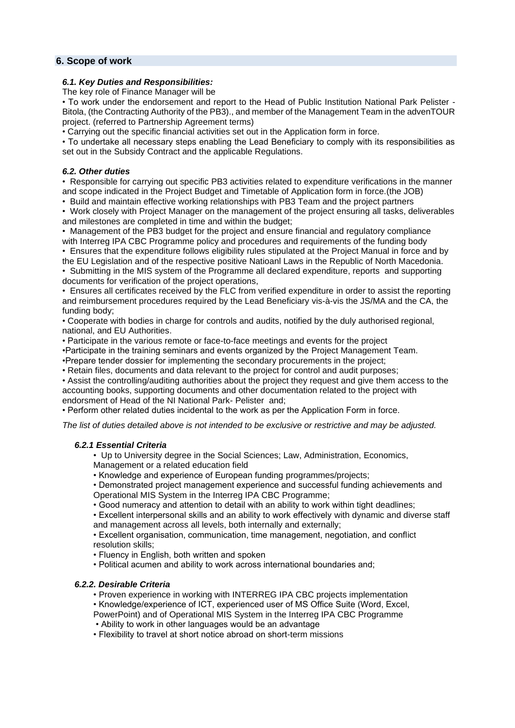## **6. Scope of work**

### *6.1. Key Duties and Responsibilities:*

The key role of Finance Manager will be

• To work under the endorsement and report to the Head of Public Institution National Park Pelister - Bitola, (the Contracting Authority of the PB3)., and member of the Management Team in the advenTOUR project. (referred to Partnership Agreement terms)

• Carrying out the specific financial activities set out in the Application form in force.

• To undertake all necessary steps enabling the Lead Beneficiary to comply with its responsibilities as set out in the Subsidy Contract and the applicable Regulations.

### *6.2. Other duties*

• Responsible for carrying out specific PB3 activities related to expenditure verifications in the manner and scope indicated in the Project Budget and Timetable of Application form in force.(the JOB)

• Build and maintain effective working relationships with PB3 Team and the project partners

• Work closely with Project Manager on the management of the project ensuring all tasks, deliverables and milestones are completed in time and within the budget;

• Management of the PB3 budget for the project and ensure financial and regulatory compliance with Interreg IPA CBC Programme policy and procedures and requirements of the funding body

• Ensures that the expenditure follows eligibility rules stipulated at the Project Manual in force and by the EU Legislation and of the respective positive Natioanl Laws in the Republic of North Macedonia. • Submitting in the MIS system of the Programme all declared expenditure, reports and supporting

documents for verification of the project operations, • Ensures all certificates received by the FLC from verified expenditure in order to assist the reporting and reimbursement procedures required by the Lead Beneficiary vis-à-vis the JS/MA and the CA, the

funding body; • Cooperate with bodies in charge for controls and audits, notified by the duly authorised regional, national, and EU Authorities.

• Participate in the various remote or face-to-face meetings and events for the project

•Participate in the training seminars and events organized by the Project Management Team.

•Prepare tender dossier for implementing the secondary procurements in the project;

• Retain files, documents and data relevant to the project for control and audit purposes;

• Assist the controlling/auditing authorities about the project they request and give them access to the accounting books, supporting documents and other documentation related to the project with endorsment of Head of the NI National Park- Pelister and;

• Perform other related duties incidental to the work as per the Application Form in force.

*The list of duties detailed above is not intended to be exclusive or restrictive and may be adjusted.*

## *6.2.1 Essential Criteria*

• Up to University degree in the Social Sciences; Law, Administration, Economics, Management or a related education field

• Knowledge and experience of European funding programmes/projects;

• Demonstrated project management experience and successful funding achievements and Operational MIS System in the Interreg IPA CBC Programme;

• Good numeracy and attention to detail with an ability to work within tight deadlines;

• Excellent interpersonal skills and an ability to work effectively with dynamic and diverse staff and management across all levels, both internally and externally;

• Excellent organisation, communication, time management, negotiation, and conflict resolution skills;

• Fluency in English, both written and spoken

• Political acumen and ability to work across international boundaries and;

## *6.2.2. Desirable Criteria*

• Proven experience in working with INTERREG IPA CBC projects implementation

• Knowledge/experience of ICT, experienced user of MS Office Suite (Word, Excel, PowerPoint) and of Operational MIS System in the Interreg IPA CBC Programme

• Ability to work in other languages would be an advantage

• Flexibility to travel at short notice abroad on short-term missions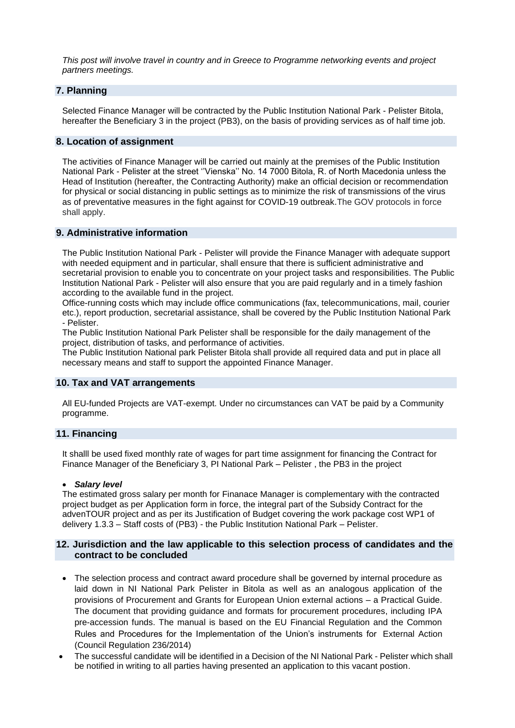*This post will involve travel in country and in Greece to Programme networking events and project partners meetings.*

## **7. Planning**

Selected Finance Manager will be contracted by the Public Institution National Park - Pelister Bitola, hereafter the Beneficiary 3 in the project (PB3), on the basis of providing services as of half time job.

## **8. Location of assignment**

The activities of Finance Manager will be carried out mainly at the premises of the Public Institution National Park - Pelister at the street ''Vienska'' No. 14 7000 Bitola, R. of North Macedonia unless the Head of Institution (hereafter, the Contracting Authority) make an official decision or recommendation for physical or social distancing in public settings as to minimize the risk of transmissions of the virus as of preventative measures in the fight against for COVID-19 outbreak.The GOV protocols in force shall apply.

## **9. Administrative information**

The Public Institution National Park - Pelister will provide the Finance Manager with adequate support with needed equipment and in particular, shall ensure that there is sufficient administrative and secretarial provision to enable you to concentrate on your project tasks and responsibilities. The Public Institution National Park - Pelister will also ensure that you are paid regularly and in a timely fashion according to the available fund in the project.

Office-running costs which may include office communications (fax, telecommunications, mail, courier etc.), report production, secretarial assistance, shall be covered by the Public Institution National Park - Pelister.

The Public Institution National Park Pelister shall be responsible for the daily management of the project, distribution of tasks, and performance of activities.

The Public Institution National park Pelister Bitola shall provide all required data and put in place all necessary means and staff to support the appointed Finance Manager.

## **10. Tax and VAT arrangements**

All EU-funded Projects are VAT-exempt. Under no circumstances can VAT be paid by a Community programme.

## **11. Financing**

It shalll be used fixed monthly rate of wages for part time assignment for financing the Contract for Finance Manager of the Beneficiary 3, PI National Park – Pelister , the PB3 in the project

#### • *Salary level*

The estimated gross salary per month for Finanace Manager is complementary with the contracted project budget as per Application form in force, the integral part of the Subsidy Contract for the advenTOUR project and as per its Justification of Budget covering the work package cost WP1 of delivery 1.3.3 – Staff costs of (PB3) - the Public Institution National Park – Pelister.

## **12. Jurisdiction and the law applicable to this selection process of candidates and the contract to be concluded**

- The selection process and contract award procedure shall be governed by internal procedure as laid down in NI National Park Pelister in Bitola as well as an analogous application of the provisions of Procurement and Grants for European Union external actions – a Practical Guide. The document that providing guidance and formats for procurement procedures, including IPA pre-accession funds. The manual is based on the EU Financial Regulation and the Common Rules and Procedures for the Implementation of the Union's instruments for External Action (Council Regulation 236/2014)
- The successful candidate will be identified in a Decision of the NI National Park Pelister which shall be notified in writing to all parties having presented an application to this vacant postion.